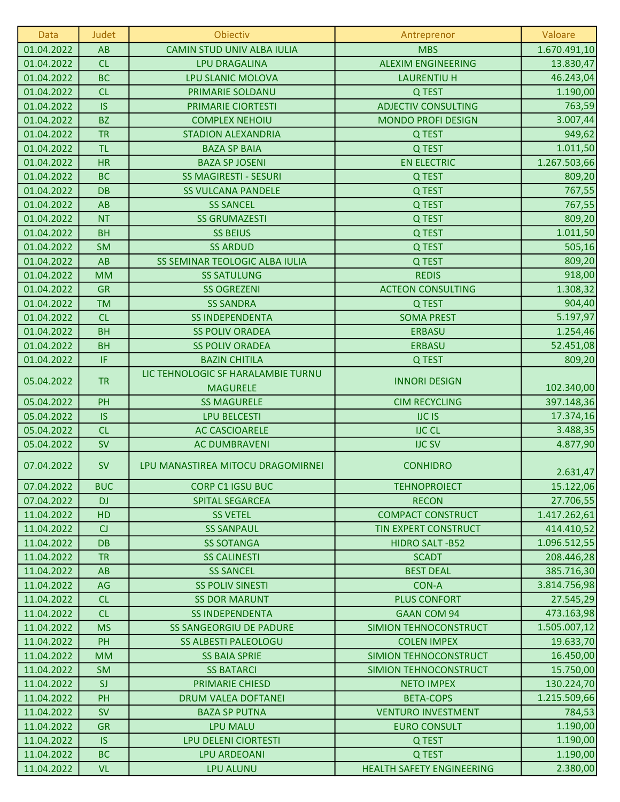| Data       | Judet      | Obiectiv                                              | Antreprenor                      | Valoare      |
|------------|------------|-------------------------------------------------------|----------------------------------|--------------|
| 01.04.2022 | AB         | CAMIN STUD UNIV ALBA IULIA                            | <b>MBS</b>                       | 1.670.491,10 |
| 01.04.2022 | CL         | <b>LPU DRAGALINA</b>                                  | <b>ALEXIM ENGINEERING</b>        | 13.830,47    |
| 01.04.2022 | <b>BC</b>  | LPU SLANIC MOLOVA                                     | <b>LAURENTIU H</b>               | 46.243,04    |
| 01.04.2022 | CL         | PRIMARIE SOLDANU                                      | Q TEST                           | 1.190,00     |
| 01.04.2022 | <b>IS</b>  | PRIMARIE CIORTESTI                                    | <b>ADJECTIV CONSULTING</b>       | 763,59       |
| 01.04.2022 | <b>BZ</b>  | <b>COMPLEX NEHOIU</b>                                 | <b>MONDO PROFI DESIGN</b>        | 3.007,44     |
| 01.04.2022 | <b>TR</b>  | <b>STADION ALEXANDRIA</b>                             | Q TEST                           | 949,62       |
| 01.04.2022 | <b>TL</b>  | <b>BAZA SP BAIA</b>                                   | Q TEST                           | 1.011,50     |
| 01.04.2022 | <b>HR</b>  | <b>BAZA SP JOSENI</b>                                 | <b>EN ELECTRIC</b>               | 1.267.503,66 |
| 01.04.2022 | <b>BC</b>  | <b>SS MAGIRESTI - SESURI</b>                          | Q TEST                           | 809,20       |
| 01.04.2022 | <b>DB</b>  | <b>SS VULCANA PANDELE</b>                             | Q TEST                           | 767,55       |
| 01.04.2022 | AB         | <b>SS SANCEL</b>                                      | Q TEST                           | 767,55       |
| 01.04.2022 | <b>NT</b>  | <b>SS GRUMAZESTI</b>                                  | Q TEST                           | 809,20       |
| 01.04.2022 | <b>BH</b>  | <b>SS BEIUS</b>                                       | Q TEST                           | 1.011,50     |
| 01.04.2022 | <b>SM</b>  | <b>SS ARDUD</b>                                       | Q TEST                           | 505,16       |
| 01.04.2022 | AB         | SS SEMINAR TEOLOGIC ALBA IULIA                        | Q TEST                           | 809,20       |
| 01.04.2022 | <b>MM</b>  | <b>SS SATULUNG</b>                                    | <b>REDIS</b>                     | 918,00       |
| 01.04.2022 | <b>GR</b>  | <b>SS OGREZENI</b>                                    | <b>ACTEON CONSULTING</b>         | 1.308,32     |
| 01.04.2022 | <b>TM</b>  | <b>SS SANDRA</b>                                      | Q TEST                           | 904,40       |
| 01.04.2022 | CL         | <b>SS INDEPENDENTA</b>                                | <b>SOMA PREST</b>                | 5.197,97     |
| 01.04.2022 | <b>BH</b>  | <b>SS POLIV ORADEA</b>                                | <b>ERBASU</b>                    | 1.254,46     |
| 01.04.2022 | <b>BH</b>  | <b>SS POLIV ORADEA</b>                                | <b>ERBASU</b>                    | 52.451,08    |
| 01.04.2022 | IF.        | <b>BAZIN CHITILA</b>                                  | Q TEST                           | 809,20       |
| 05.04.2022 | <b>TR</b>  | LIC TEHNOLOGIC SF HARALAMBIE TURNU<br><b>MAGURELE</b> | <b>INNORI DESIGN</b>             | 102.340,00   |
| 05.04.2022 | PH         | <b>SS MAGURELE</b>                                    | <b>CIM RECYCLING</b>             | 397.148,36   |
| 05.04.2022 | <b>IS</b>  | <b>LPU BELCESTI</b>                                   | <b>IJC IS</b>                    | 17.374,16    |
| 05.04.2022 | CL         | <b>AC CASCIOARELE</b>                                 | <b>IJC CL</b>                    | 3.488,35     |
| 05.04.2022 | <b>SV</b>  | <b>AC DUMBRAVENI</b>                                  | <b>IJC SV</b>                    | 4.877,90     |
| 07.04.2022 | <b>SV</b>  | LPU MANASTIREA MITOCU DRAGOMIRNEI                     | <b>CONHIDRO</b>                  | 2.631,47     |
| 07.04.2022 | <b>BUC</b> | <b>CORP C1 IGSU BUC</b>                               | <b>TEHNOPROIECT</b>              | 15.122,06    |
| 07.04.2022 | <b>DJ</b>  | SPITAL SEGARCEA                                       | <b>RECON</b>                     | 27.706,55    |
| 11.04.2022 | HD         | <b>SS VETEL</b>                                       | <b>COMPACT CONSTRUCT</b>         | 1.417.262,61 |
| 11.04.2022 | CJ         | <b>SS SANPAUL</b>                                     | TIN EXPERT CONSTRUCT             | 414.410,52   |
| 11.04.2022 | <b>DB</b>  | <b>SS SOTANGA</b>                                     | <b>HIDRO SALT-B52</b>            | 1.096.512,55 |
| 11.04.2022 | <b>TR</b>  | <b>SS CALINESTI</b>                                   | <b>SCADT</b>                     | 208.446,28   |
| 11.04.2022 | AB         | <b>SS SANCEL</b>                                      | <b>BEST DEAL</b>                 | 385.716,30   |
| 11.04.2022 | AG         | <b>SS POLIV SINESTI</b>                               | <b>CON-A</b>                     | 3.814.756,98 |
| 11.04.2022 | <b>CL</b>  | <b>SS DOR MARUNT</b>                                  | <b>PLUS CONFORT</b>              | 27.545,29    |
| 11.04.2022 | <b>CL</b>  | <b>SS INDEPENDENTA</b>                                | <b>GAAN COM 94</b>               | 473.163,98   |
| 11.04.2022 | <b>MS</b>  | <b>SS SANGEORGIU DE PADURE</b>                        | <b>SIMION TEHNOCONSTRUCT</b>     | 1.505.007,12 |
| 11.04.2022 | PH         | <b>SS ALBESTI PALEOLOGU</b>                           | <b>COLEN IMPEX</b>               | 19.633,70    |
| 11.04.2022 | <b>MM</b>  | <b>SS BAIA SPRIE</b>                                  | SIMION TEHNOCONSTRUCT            | 16.450,00    |
| 11.04.2022 | <b>SM</b>  | <b>SS BATARCI</b>                                     | SIMION TEHNOCONSTRUCT            | 15.750,00    |
| 11.04.2022 | <b>SJ</b>  | <b>PRIMARIE CHIESD</b>                                | <b>NETO IMPEX</b>                | 130.224,70   |
| 11.04.2022 | PH         | <b>DRUM VALEA DOFTANEI</b>                            | <b>BETA-COPS</b>                 | 1.215.509,66 |
| 11.04.2022 | <b>SV</b>  | <b>BAZA SP PUTNA</b>                                  | <b>VENTURO INVESTMENT</b>        | 784,53       |
| 11.04.2022 | <b>GR</b>  | <b>LPU MALU</b>                                       | <b>EURO CONSULT</b>              | 1.190,00     |
| 11.04.2022 | <b>IS</b>  | LPU DELENI CIORTESTI                                  | Q TEST                           | 1.190,00     |
| 11.04.2022 | <b>BC</b>  | <b>LPU ARDEOANI</b>                                   | Q TEST                           | 1.190,00     |
| 11.04.2022 | <b>VL</b>  | <b>LPU ALUNU</b>                                      | <b>HEALTH SAFETY ENGINEERING</b> | 2.380,00     |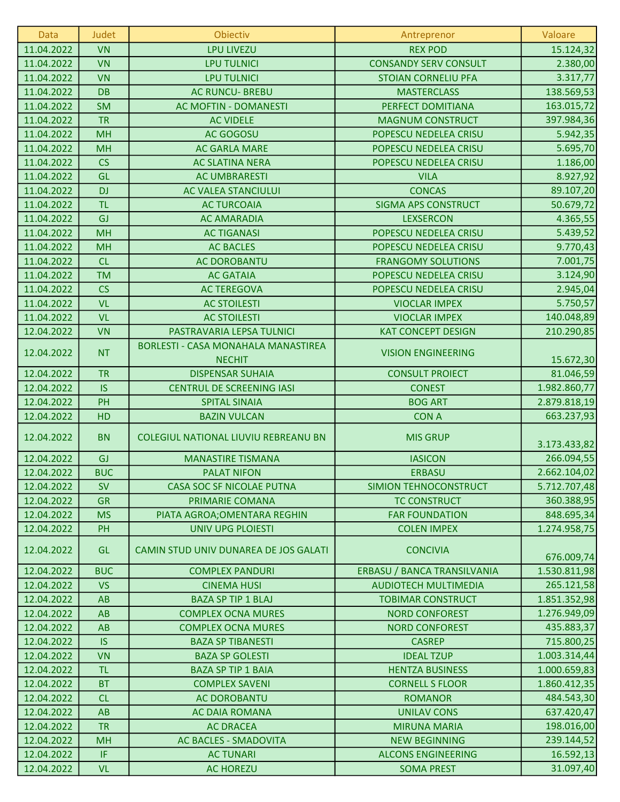| Data       | Judet      | Obiectiv                                                    | Antreprenor                  | Valoare      |
|------------|------------|-------------------------------------------------------------|------------------------------|--------------|
| 11.04.2022 | <b>VN</b>  | <b>LPU LIVEZU</b>                                           | <b>REX POD</b>               | 15.124,32    |
| 11.04.2022 | <b>VN</b>  | <b>LPU TULNICI</b>                                          | <b>CONSANDY SERV CONSULT</b> | 2.380,00     |
| 11.04.2022 | <b>VN</b>  | <b>LPU TULNICI</b>                                          | <b>STOIAN CORNELIU PFA</b>   | 3.317,77     |
| 11.04.2022 | <b>DB</b>  | <b>AC RUNCU- BREBU</b>                                      | <b>MASTERCLASS</b>           | 138.569,53   |
| 11.04.2022 | <b>SM</b>  | AC MOFTIN - DOMANESTI                                       | PERFECT DOMITIANA            | 163.015,72   |
| 11.04.2022 | <b>TR</b>  | <b>AC VIDELE</b>                                            | <b>MAGNUM CONSTRUCT</b>      | 397.984,36   |
| 11.04.2022 | <b>MH</b>  | AC GOGOSU                                                   | POPESCU NEDELEA CRISU        | 5.942,35     |
| 11.04.2022 | <b>MH</b>  | <b>AC GARLA MARE</b>                                        | POPESCU NEDELEA CRISU        | 5.695,70     |
| 11.04.2022 | CS         | <b>AC SLATINA NERA</b>                                      | POPESCU NEDELEA CRISU        | 1.186,00     |
| 11.04.2022 | GL         | <b>AC UMBRARESTI</b>                                        | <b>VILA</b>                  | 8.927,92     |
| 11.04.2022 | <b>DJ</b>  | AC VALEA STANCIULUI                                         | <b>CONCAS</b>                | 89.107,20    |
| 11.04.2022 | <b>TL</b>  | <b>AC TURCOAIA</b>                                          | <b>SIGMA APS CONSTRUCT</b>   | 50.679,72    |
| 11.04.2022 | GJ         | <b>AC AMARADIA</b>                                          | <b>LEXSERCON</b>             | 4.365,55     |
| 11.04.2022 | <b>MH</b>  | <b>AC TIGANASI</b>                                          | POPESCU NEDELEA CRISU        | 5.439,52     |
| 11.04.2022 | <b>MH</b>  | <b>AC BACLES</b>                                            | POPESCU NEDELEA CRISU        | 9.770,43     |
| 11.04.2022 | CL         | <b>AC DOROBANTU</b>                                         | <b>FRANGOMY SOLUTIONS</b>    | 7.001,75     |
| 11.04.2022 | <b>TM</b>  | <b>AC GATAIA</b>                                            | POPESCU NEDELEA CRISU        | 3.124,90     |
| 11.04.2022 | CS         | <b>AC TEREGOVA</b>                                          | POPESCU NEDELEA CRISU        | 2.945,04     |
| 11.04.2022 | <b>VL</b>  | <b>AC STOILESTI</b>                                         | <b>VIOCLAR IMPEX</b>         | 5.750,57     |
| 11.04.2022 | <b>VL</b>  | <b>AC STOILESTI</b>                                         | <b>VIOCLAR IMPEX</b>         | 140.048,89   |
| 12.04.2022 | <b>VN</b>  | PASTRAVARIA LEPSA TULNICI                                   | <b>KAT CONCEPT DESIGN</b>    | 210.290,85   |
| 12.04.2022 | <b>NT</b>  | <b>BORLESTI - CASA MONAHALA MANASTIREA</b><br><b>NECHIT</b> | <b>VISION ENGINEERING</b>    | 15.672,30    |
| 12.04.2022 | <b>TR</b>  | <b>DISPENSAR SUHAIA</b>                                     | <b>CONSULT PROIECT</b>       | 81.046,59    |
| 12.04.2022 | <b>IS</b>  | <b>CENTRUL DE SCREENING IASI</b>                            | <b>CONEST</b>                | 1.982.860,77 |
| 12.04.2022 | PH         | <b>SPITAL SINAIA</b>                                        | <b>BOG ART</b>               | 2.879.818,19 |
| 12.04.2022 | HD         | <b>BAZIN VULCAN</b>                                         | <b>CON A</b>                 | 663.237,93   |
| 12.04.2022 | <b>BN</b>  | COLEGIUL NATIONAL LIUVIU REBREANU BN                        | <b>MIS GRUP</b>              | 3.173.433,82 |
| 12.04.2022 | GJ         | <b>MANASTIRE TISMANA</b>                                    | <b>IASICON</b>               | 266.094,55   |
| 12.04.2022 | <b>BUC</b> | <b>PALAT NIFON</b>                                          | <b>ERBASU</b>                | 2.662.104,02 |
| 12.04.2022 | <b>SV</b>  | CASA SOC SF NICOLAE PUTNA                                   | SIMION TEHNOCONSTRUCT        | 5.712.707,48 |
| 12.04.2022 | <b>GR</b>  | PRIMARIE COMANA                                             | <b>TC CONSTRUCT</b>          | 360.388,95   |
| 12.04.2022 | <b>MS</b>  | PIATA AGROA; OMENTARA REGHIN                                | <b>FAR FOUNDATION</b>        | 848.695,34   |
| 12.04.2022 | PH         | <b>UNIV UPG PLOIESTI</b>                                    | <b>COLEN IMPEX</b>           | 1.274.958,75 |
| 12.04.2022 | GL         | CAMIN STUD UNIV DUNAREA DE JOS GALATI                       | <b>CONCIVIA</b>              | 676.009,74   |
| 12.04.2022 | <b>BUC</b> | <b>COMPLEX PANDURI</b>                                      | ERBASU / BANCA TRANSILVANIA  | 1.530.811,98 |
| 12.04.2022 | <b>VS</b>  | <b>CINEMA HUSI</b>                                          | <b>AUDIOTECH MULTIMEDIA</b>  | 265.121,58   |
| 12.04.2022 | AB         | <b>BAZA SP TIP 1 BLAJ</b>                                   | <b>TOBIMAR CONSTRUCT</b>     | 1.851.352,98 |
| 12.04.2022 | AB         | <b>COMPLEX OCNA MURES</b>                                   | <b>NORD CONFOREST</b>        | 1.276.949,09 |
| 12.04.2022 | <b>AB</b>  | <b>COMPLEX OCNA MURES</b>                                   | <b>NORD CONFOREST</b>        | 435.883,37   |
| 12.04.2022 | <b>IS</b>  | <b>BAZA SP TIBANESTI</b>                                    | <b>CASREP</b>                | 715.800,25   |
| 12.04.2022 | <b>VN</b>  | <b>BAZA SP GOLESTI</b>                                      | <b>IDEAL TZUP</b>            | 1.003.314,44 |
| 12.04.2022 | <b>TL</b>  | <b>BAZA SP TIP 1 BAIA</b>                                   | <b>HENTZA BUSINESS</b>       | 1.000.659,83 |
| 12.04.2022 | <b>BT</b>  | <b>COMPLEX SAVENI</b>                                       | <b>CORNELL S FLOOR</b>       | 1.860.412,35 |
| 12.04.2022 | <b>CL</b>  | <b>AC DOROBANTU</b>                                         | <b>ROMANOR</b>               | 484.543,30   |
| 12.04.2022 | <b>AB</b>  | <b>AC DAIA ROMANA</b>                                       | <b>UNILAV CONS</b>           | 637.420,47   |
| 12.04.2022 | <b>TR</b>  | <b>AC DRACEA</b>                                            | <b>MIRUNA MARIA</b>          | 198.016,00   |
| 12.04.2022 | <b>MH</b>  | AC BACLES - SMADOVITA                                       | <b>NEW BEGINNING</b>         | 239.144,52   |
| 12.04.2022 | IF         | <b>AC TUNARI</b>                                            | <b>ALCONS ENGINEERING</b>    | 16.592,13    |
| 12.04.2022 | <b>VL</b>  | <b>AC HOREZU</b>                                            | <b>SOMA PREST</b>            | 31.097,40    |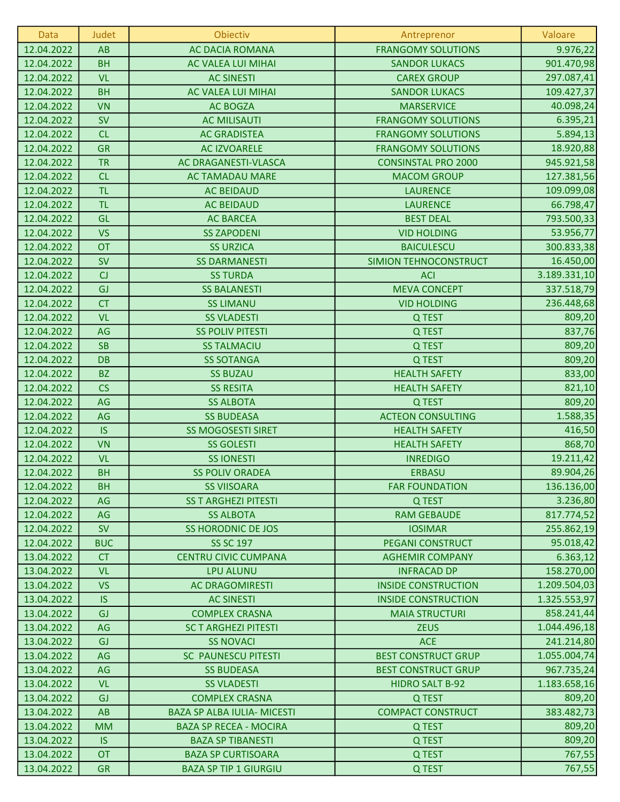| Data       | Judet      | Obiectiv                           | Antreprenor                | Valoare      |
|------------|------------|------------------------------------|----------------------------|--------------|
| 12.04.2022 | AB         | <b>AC DACIA ROMANA</b>             | <b>FRANGOMY SOLUTIONS</b>  | 9.976,22     |
| 12.04.2022 | <b>BH</b>  | <b>AC VALEA LUI MIHAI</b>          | <b>SANDOR LUKACS</b>       | 901.470,98   |
| 12.04.2022 | <b>VL</b>  | <b>AC SINESTI</b>                  | <b>CAREX GROUP</b>         | 297.087,41   |
| 12.04.2022 | <b>BH</b>  | AC VALEA LUI MIHAI                 | <b>SANDOR LUKACS</b>       | 109.427,37   |
| 12.04.2022 | <b>VN</b>  | <b>AC BOGZA</b>                    | <b>MARSERVICE</b>          | 40.098,24    |
| 12.04.2022 | <b>SV</b>  | <b>AC MILISAUTI</b>                | <b>FRANGOMY SOLUTIONS</b>  | 6.395,21     |
| 12.04.2022 | CL         | <b>AC GRADISTEA</b>                | <b>FRANGOMY SOLUTIONS</b>  | 5.894,13     |
| 12.04.2022 | <b>GR</b>  | <b>AC IZVOARELE</b>                | <b>FRANGOMY SOLUTIONS</b>  | 18.920,88    |
| 12.04.2022 | <b>TR</b>  | AC DRAGANESTI-VLASCA               | <b>CONSINSTAL PRO 2000</b> | 945.921,58   |
| 12.04.2022 | CL         | <b>AC TAMADAU MARE</b>             | <b>MACOM GROUP</b>         | 127.381,56   |
| 12.04.2022 | <b>TL</b>  | <b>AC BEIDAUD</b>                  | <b>LAURENCE</b>            | 109.099,08   |
| 12.04.2022 | <b>TL</b>  | <b>AC BEIDAUD</b>                  | <b>LAURENCE</b>            | 66.798,47    |
| 12.04.2022 | GL         | <b>AC BARCEA</b>                   | <b>BEST DEAL</b>           | 793.500,33   |
| 12.04.2022 | <b>VS</b>  | <b>SS ZAPODENI</b>                 | <b>VID HOLDING</b>         | 53.956,77    |
| 12.04.2022 | OT         | <b>SS URZICA</b>                   | <b>BAICULESCU</b>          | 300.833,38   |
| 12.04.2022 | <b>SV</b>  | <b>SS DARMANESTI</b>               | SIMION TEHNOCONSTRUCT      | 16.450,00    |
| 12.04.2022 | CJ         | <b>SS TURDA</b>                    | <b>ACI</b>                 | 3.189.331,10 |
| 12.04.2022 | GJ         | <b>SS BALANESTI</b>                | <b>MEVA CONCEPT</b>        | 337.518,79   |
| 12.04.2022 | <b>CT</b>  | <b>SS LIMANU</b>                   | <b>VID HOLDING</b>         | 236.448,68   |
| 12.04.2022 | <b>VL</b>  | <b>SS VLADESTI</b>                 | Q TEST                     | 809,20       |
| 12.04.2022 | AG         | <b>SS POLIV PITESTI</b>            | Q TEST                     | 837,76       |
| 12.04.2022 | <b>SB</b>  | <b>SS TALMACIU</b>                 | Q TEST                     | 809,20       |
| 12.04.2022 | <b>DB</b>  | <b>SS SOTANGA</b>                  | Q TEST                     | 809,20       |
| 12.04.2022 | <b>BZ</b>  | <b>SS BUZAU</b>                    | <b>HEALTH SAFETY</b>       | 833,00       |
| 12.04.2022 | CS         | <b>SS RESITA</b>                   | <b>HEALTH SAFETY</b>       | 821,10       |
| 12.04.2022 | AG         | <b>SS ALBOTA</b>                   | Q TEST                     | 809,20       |
| 12.04.2022 | AG         | <b>SS BUDEASA</b>                  | <b>ACTEON CONSULTING</b>   | 1.588,35     |
| 12.04.2022 | <b>IS</b>  | <b>SS MOGOSESTI SIRET</b>          | <b>HEALTH SAFETY</b>       | 416,50       |
| 12.04.2022 | <b>VN</b>  | <b>SS GOLESTI</b>                  | <b>HEALTH SAFETY</b>       | 868,70       |
| 12.04.2022 | <b>VL</b>  | <b>SS IONESTI</b>                  | <b>INREDIGO</b>            | 19.211,42    |
| 12.04.2022 | <b>BH</b>  | <b>SS POLIV ORADEA</b>             | <b>ERBASU</b>              | 89.904,26    |
| 12.04.2022 | <b>BH</b>  | <b>SS VIISOARA</b>                 | <b>FAR FOUNDATION</b>      | 136.136,00   |
| 12.04.2022 | AG         | <b>SS T ARGHEZI PITESTI</b>        | Q TEST                     | 3.236,80     |
| 12.04.2022 | AG         | <b>SS ALBOTA</b>                   | <b>RAM GEBAUDE</b>         | 817.774,52   |
| 12.04.2022 | <b>SV</b>  | <b>SS HORODNIC DE JOS</b>          | <b>IOSIMAR</b>             | 255.862,19   |
| 12.04.2022 | <b>BUC</b> | <b>SS SC 197</b>                   | <b>PEGANI CONSTRUCT</b>    | 95.018,42    |
| 13.04.2022 | <b>CT</b>  | <b>CENTRU CIVIC CUMPANA</b>        | <b>AGHEMIR COMPANY</b>     | 6.363,12     |
| 13.04.2022 | <b>VL</b>  | <b>LPU ALUNU</b>                   | <b>INFRACAD DP</b>         | 158.270,00   |
| 13.04.2022 | <b>VS</b>  | <b>AC DRAGOMIRESTI</b>             | <b>INSIDE CONSTRUCTION</b> | 1.209.504,03 |
| 13.04.2022 | <b>IS</b>  | <b>AC SINESTI</b>                  | <b>INSIDE CONSTRUCTION</b> | 1.325.553,97 |
| 13.04.2022 | GJ         | <b>COMPLEX CRASNA</b>              | <b>MAIA STRUCTURI</b>      | 858.241,44   |
| 13.04.2022 | AG         | <b>SC T ARGHEZI PITESTI</b>        | <b>ZEUS</b>                | 1.044.496,18 |
| 13.04.2022 | GJ         | <b>SS NOVACI</b>                   | <b>ACE</b>                 | 241.214,80   |
| 13.04.2022 | AG         | <b>SC PAUNESCU PITESTI</b>         | <b>BEST CONSTRUCT GRUP</b> | 1.055.004,74 |
| 13.04.2022 | AG         | <b>SS BUDEASA</b>                  | <b>BEST CONSTRUCT GRUP</b> | 967.735,24   |
| 13.04.2022 | <b>VL</b>  | <b>SS VLADESTI</b>                 | <b>HIDRO SALT B-92</b>     | 1.183.658,16 |
| 13.04.2022 | GJ         | <b>COMPLEX CRASNA</b>              | Q TEST                     | 809,20       |
| 13.04.2022 | AB         | <b>BAZA SP ALBA IULIA- MICESTI</b> | <b>COMPACT CONSTRUCT</b>   | 383.482,73   |
| 13.04.2022 | <b>MM</b>  | <b>BAZA SP RECEA - MOCIRA</b>      | Q TEST                     | 809,20       |
| 13.04.2022 | <b>IS</b>  | <b>BAZA SP TIBANESTI</b>           | Q TEST                     | 809,20       |
| 13.04.2022 | <b>OT</b>  | <b>BAZA SP CURTISOARA</b>          | Q TEST                     | 767,55       |
| 13.04.2022 | <b>GR</b>  | <b>BAZA SP TIP 1 GIURGIU</b>       | Q TEST                     | 767,55       |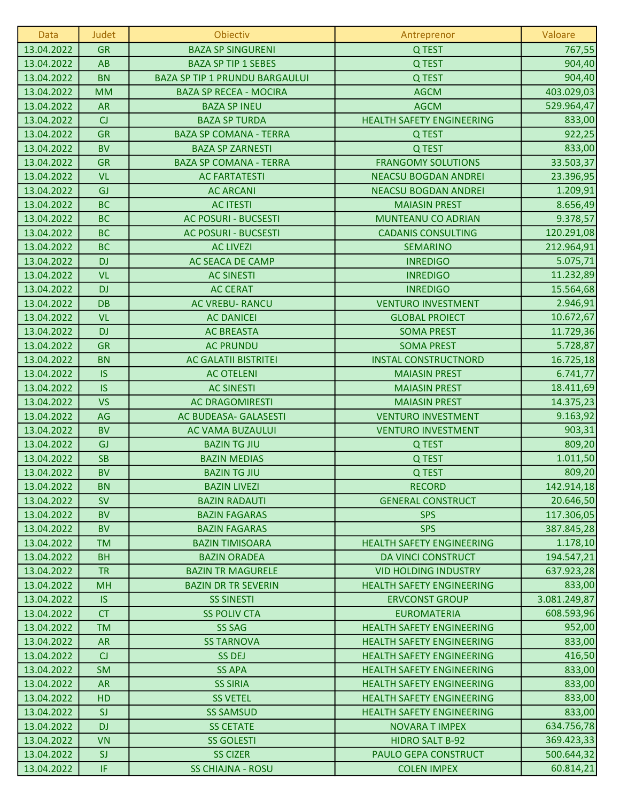| Data       | Judet     | Obiectiv                              | Antreprenor                      | Valoare      |
|------------|-----------|---------------------------------------|----------------------------------|--------------|
| 13.04.2022 | <b>GR</b> | <b>BAZA SP SINGURENI</b>              | Q TEST                           | 767,55       |
| 13.04.2022 | <b>AB</b> | <b>BAZA SP TIP 1 SEBES</b>            | Q TEST                           | 904,40       |
| 13.04.2022 | <b>BN</b> | <b>BAZA SP TIP 1 PRUNDU BARGAULUI</b> | Q TEST                           | 904,40       |
| 13.04.2022 | <b>MM</b> | <b>BAZA SP RECEA - MOCIRA</b>         | <b>AGCM</b>                      | 403.029,03   |
| 13.04.2022 | <b>AR</b> | <b>BAZA SP INEU</b>                   | <b>AGCM</b>                      | 529.964,47   |
| 13.04.2022 | CJ        | <b>BAZA SP TURDA</b>                  | <b>HEALTH SAFETY ENGINEERING</b> | 833,00       |
| 13.04.2022 | <b>GR</b> | <b>BAZA SP COMANA - TERRA</b>         | Q TEST                           | 922,25       |
| 13.04.2022 | <b>BV</b> | <b>BAZA SP ZARNESTI</b>               | Q TEST                           | 833,00       |
| 13.04.2022 | <b>GR</b> | <b>BAZA SP COMANA - TERRA</b>         | <b>FRANGOMY SOLUTIONS</b>        | 33.503,37    |
| 13.04.2022 | <b>VL</b> | <b>AC FARTATESTI</b>                  | <b>NEACSU BOGDAN ANDREI</b>      | 23.396,95    |
| 13.04.2022 | GJ        | <b>AC ARCANI</b>                      | <b>NEACSU BOGDAN ANDREI</b>      | 1.209,91     |
| 13.04.2022 | <b>BC</b> | <b>AC ITESTI</b>                      | <b>MAIASIN PREST</b>             | 8.656,49     |
| 13.04.2022 | <b>BC</b> | <b>AC POSURI - BUCSESTI</b>           | MUNTEANU CO ADRIAN               | 9.378,57     |
| 13.04.2022 | <b>BC</b> | <b>AC POSURI - BUCSESTI</b>           | <b>CADANIS CONSULTING</b>        | 120.291,08   |
| 13.04.2022 | <b>BC</b> | <b>AC LIVEZI</b>                      | <b>SEMARINO</b>                  | 212.964,91   |
| 13.04.2022 | <b>DJ</b> | AC SEACA DE CAMP                      | <b>INREDIGO</b>                  | 5.075,71     |
| 13.04.2022 | <b>VL</b> | <b>AC SINESTI</b>                     | <b>INREDIGO</b>                  | 11.232,89    |
| 13.04.2022 | <b>DJ</b> | <b>AC CERAT</b>                       | <b>INREDIGO</b>                  | 15.564,68    |
| 13.04.2022 | <b>DB</b> | <b>AC VREBU- RANCU</b>                | <b>VENTURO INVESTMENT</b>        | 2.946,91     |
| 13.04.2022 | <b>VL</b> | <b>AC DANICEI</b>                     | <b>GLOBAL PROIECT</b>            | 10.672,67    |
| 13.04.2022 | <b>DJ</b> | <b>AC BREASTA</b>                     | <b>SOMA PREST</b>                | 11.729,36    |
| 13.04.2022 | <b>GR</b> | <b>AC PRUNDU</b>                      | <b>SOMA PREST</b>                | 5.728,87     |
| 13.04.2022 | <b>BN</b> | <b>AC GALATII BISTRITEI</b>           | <b>INSTAL CONSTRUCTNORD</b>      | 16.725,18    |
| 13.04.2022 | <b>IS</b> | <b>AC OTELENI</b>                     | <b>MAIASIN PREST</b>             | 6.741,77     |
| 13.04.2022 | <b>IS</b> | <b>AC SINESTI</b>                     | <b>MAIASIN PREST</b>             | 18.411,69    |
| 13.04.2022 | <b>VS</b> | <b>AC DRAGOMIRESTI</b>                | <b>MAIASIN PREST</b>             | 14.375,23    |
| 13.04.2022 | AG        | AC BUDEASA- GALASESTI                 | <b>VENTURO INVESTMENT</b>        | 9.163,92     |
| 13.04.2022 | <b>BV</b> | AC VAMA BUZAULUI                      | <b>VENTURO INVESTMENT</b>        | 903,31       |
| 13.04.2022 | GJ        | <b>BAZIN TG JIU</b>                   | Q TEST                           | 809,20       |
| 13.04.2022 | <b>SB</b> | <b>BAZIN MEDIAS</b>                   | Q TEST                           | 1.011,50     |
| 13.04.2022 | <b>BV</b> | <b>BAZIN TG JIU</b>                   | Q TEST                           | 809,20       |
| 13.04.2022 | <b>BN</b> | <b>BAZIN LIVEZI</b>                   | <b>RECORD</b>                    | 142.914,18   |
| 13.04.2022 | <b>SV</b> | <b>BAZIN RADAUTI</b>                  | <b>GENERAL CONSTRUCT</b>         | 20.646,50    |
| 13.04.2022 | <b>BV</b> | <b>BAZIN FAGARAS</b>                  | <b>SPS</b>                       | 117.306,05   |
| 13.04.2022 | <b>BV</b> | <b>BAZIN FAGARAS</b>                  | <b>SPS</b>                       | 387.845,28   |
| 13.04.2022 | <b>TM</b> | <b>BAZIN TIMISOARA</b>                | <b>HEALTH SAFETY ENGINEERING</b> | 1.178,10     |
| 13.04.2022 | <b>BH</b> | <b>BAZIN ORADEA</b>                   | DA VINCI CONSTRUCT               | 194.547,21   |
| 13.04.2022 | <b>TR</b> | <b>BAZIN TR MAGURELE</b>              | <b>VID HOLDING INDUSTRY</b>      | 637.923,28   |
| 13.04.2022 | <b>MH</b> | <b>BAZIN DR TR SEVERIN</b>            | <b>HEALTH SAFETY ENGINEERING</b> | 833,00       |
| 13.04.2022 | <b>IS</b> | <b>SS SINESTI</b>                     | <b>ERVCONST GROUP</b>            | 3.081.249,87 |
| 13.04.2022 | <b>CT</b> | <b>SS POLIV CTA</b>                   | <b>EUROMATERIA</b>               | 608.593,96   |
| 13.04.2022 | <b>TM</b> | <b>SS SAG</b>                         | <b>HEALTH SAFETY ENGINEERING</b> | 952,00       |
| 13.04.2022 | <b>AR</b> | <b>SS TARNOVA</b>                     | <b>HEALTH SAFETY ENGINEERING</b> | 833,00       |
| 13.04.2022 | CJ        | <b>SS DEJ</b>                         | <b>HEALTH SAFETY ENGINEERING</b> | 416,50       |
| 13.04.2022 | <b>SM</b> | <b>SS APA</b>                         | <b>HEALTH SAFETY ENGINEERING</b> | 833,00       |
| 13.04.2022 | <b>AR</b> | <b>SS SIRIA</b>                       | <b>HEALTH SAFETY ENGINEERING</b> | 833,00       |
| 13.04.2022 | HD        | <b>SS VETEL</b>                       | <b>HEALTH SAFETY ENGINEERING</b> | 833,00       |
| 13.04.2022 | SJ        | <b>SS SAMSUD</b>                      | <b>HEALTH SAFETY ENGINEERING</b> | 833,00       |
| 13.04.2022 | <b>DJ</b> | <b>SS CETATE</b>                      | <b>NOVARA T IMPEX</b>            | 634.756,78   |
| 13.04.2022 | <b>VN</b> | <b>SS GOLESTI</b>                     | <b>HIDRO SALT B-92</b>           | 369.423,33   |
| 13.04.2022 | SJ        | <b>SS CIZER</b>                       | PAULO GEPA CONSTRUCT             | 500.644,32   |
| 13.04.2022 | IF.       | <b>SS CHIAJNA - ROSU</b>              | <b>COLEN IMPEX</b>               | 60.814,21    |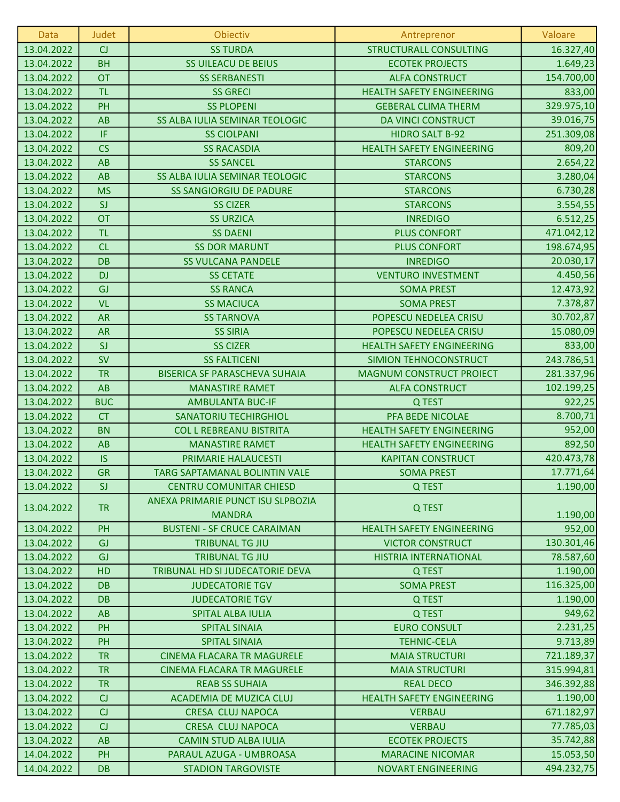| Data       | Judet      | Obiectiv                                           | Antreprenor                      | Valoare    |
|------------|------------|----------------------------------------------------|----------------------------------|------------|
| 13.04.2022 | CJ         | <b>SS TURDA</b>                                    | <b>STRUCTURALL CONSULTING</b>    | 16.327,40  |
| 13.04.2022 | <b>BH</b>  | <b>SS UILEACU DE BEIUS</b>                         | <b>ECOTEK PROJECTS</b>           | 1.649,23   |
| 13.04.2022 | <b>OT</b>  | <b>SS SERBANESTI</b>                               | <b>ALFA CONSTRUCT</b>            | 154.700,00 |
| 13.04.2022 | <b>TL</b>  | <b>SS GRECI</b>                                    | <b>HEALTH SAFETY ENGINEERING</b> | 833,00     |
| 13.04.2022 | PH         | <b>SS PLOPENI</b>                                  | <b>GEBERAL CLIMA THERM</b>       | 329.975,10 |
| 13.04.2022 | AB         | SS ALBA IULIA SEMINAR TEOLOGIC                     | DA VINCI CONSTRUCT               | 39.016,75  |
| 13.04.2022 | IF         | <b>SS CIOLPANI</b>                                 | <b>HIDRO SALT B-92</b>           | 251.309,08 |
| 13.04.2022 | CS         | <b>SS RACASDIA</b>                                 | <b>HEALTH SAFETY ENGINEERING</b> | 809,20     |
| 13.04.2022 | AB         | <b>SS SANCEL</b>                                   | <b>STARCONS</b>                  | 2.654,22   |
| 13.04.2022 | AB         | SS ALBA IULIA SEMINAR TEOLOGIC                     | <b>STARCONS</b>                  | 3.280,04   |
| 13.04.2022 | <b>MS</b>  | <b>SS SANGIORGIU DE PADURE</b>                     | <b>STARCONS</b>                  | 6.730,28   |
| 13.04.2022 | SI         | <b>SS CIZER</b>                                    | <b>STARCONS</b>                  | 3.554,55   |
| 13.04.2022 | <b>OT</b>  | <b>SS URZICA</b>                                   | <b>INREDIGO</b>                  | 6.512,25   |
| 13.04.2022 | <b>TL</b>  | <b>SS DAENI</b>                                    | <b>PLUS CONFORT</b>              | 471.042,12 |
| 13.04.2022 | CL         | <b>SS DOR MARUNT</b>                               | <b>PLUS CONFORT</b>              | 198.674,95 |
| 13.04.2022 | <b>DB</b>  | <b>SS VULCANA PANDELE</b>                          | <b>INREDIGO</b>                  | 20.030,17  |
| 13.04.2022 | <b>DJ</b>  | <b>SS CETATE</b>                                   | <b>VENTURO INVESTMENT</b>        | 4.450,56   |
| 13.04.2022 | GJ         | <b>SS RANCA</b>                                    | <b>SOMA PREST</b>                | 12.473,92  |
| 13.04.2022 | <b>VL</b>  | <b>SS MACIUCA</b>                                  | <b>SOMA PREST</b>                | 7.378,87   |
| 13.04.2022 | <b>AR</b>  | <b>SS TARNOVA</b>                                  | POPESCU NEDELEA CRISU            | 30.702,87  |
| 13.04.2022 | <b>AR</b>  | <b>SS SIRIA</b>                                    | POPESCU NEDELEA CRISU            | 15.080,09  |
| 13.04.2022 | SJ         | <b>SS CIZER</b>                                    | <b>HEALTH SAFETY ENGINEERING</b> | 833,00     |
| 13.04.2022 | <b>SV</b>  | <b>SS FALTICENI</b>                                | SIMION TEHNOCONSTRUCT            | 243.786,51 |
| 13.04.2022 | <b>TR</b>  | <b>BISERICA SF PARASCHEVA SUHAIA</b>               | <b>MAGNUM CONSTRUCT PROIECT</b>  | 281.337,96 |
| 13.04.2022 | AB         | <b>MANASTIRE RAMET</b>                             | <b>ALFA CONSTRUCT</b>            | 102.199,25 |
| 13.04.2022 | <b>BUC</b> | <b>AMBULANTA BUC-IF</b>                            | Q TEST                           | 922,25     |
| 13.04.2022 | <b>CT</b>  | <b>SANATORIU TECHIRGHIOL</b>                       | PFA BEDE NICOLAE                 | 8.700,71   |
| 13.04.2022 | <b>BN</b>  | <b>COL L REBREANU BISTRITA</b>                     | <b>HEALTH SAFETY ENGINEERING</b> | 952,00     |
| 13.04.2022 | AB         | <b>MANASTIRE RAMET</b>                             | <b>HEALTH SAFETY ENGINEERING</b> | 892,50     |
| 13.04.2022 | <b>IS</b>  | PRIMARIE HALAUCESTI                                | <b>KAPITAN CONSTRUCT</b>         | 420.473,78 |
| 13.04.2022 | <b>GR</b>  | TARG SAPTAMANAL BOLINTIN VALE                      | <b>SOMA PREST</b>                | 17.771,64  |
| 13.04.2022 | SI         | <b>CENTRU COMUNITAR CHIESD</b>                     | Q TEST                           | 1.190,00   |
| 13.04.2022 | <b>TR</b>  | ANEXA PRIMARIE PUNCT ISU SLPBOZIA<br><b>MANDRA</b> | Q TEST                           | 1.190,00   |
| 13.04.2022 | PH         | <b>BUSTENI - SF CRUCE CARAIMAN</b>                 | <b>HEALTH SAFETY ENGINEERING</b> | 952,00     |
| 13.04.2022 | GJ         | <b>TRIBUNAL TG JIU</b>                             | <b>VICTOR CONSTRUCT</b>          | 130.301,46 |
| 13.04.2022 | GJ         | <b>TRIBUNAL TG JIU</b>                             | <b>HISTRIA INTERNATIONAL</b>     | 78.587,60  |
| 13.04.2022 | HD         | TRIBUNAL HD SI JUDECATORIE DEVA                    | Q TEST                           | 1.190,00   |
| 13.04.2022 | <b>DB</b>  | <b>JUDECATORIE TGV</b>                             | <b>SOMA PREST</b>                | 116.325,00 |
| 13.04.2022 | <b>DB</b>  | <b>JUDECATORIE TGV</b>                             | Q TEST                           | 1.190,00   |
| 13.04.2022 | AB         | SPITAL ALBA IULIA                                  | Q TEST                           | 949,62     |
| 13.04.2022 | PH         | <b>SPITAL SINAIA</b>                               | <b>EURO CONSULT</b>              | 2.231,25   |
| 13.04.2022 | PH         | <b>SPITAL SINAIA</b>                               | <b>TEHNIC-CELA</b>               | 9.713,89   |
| 13.04.2022 | <b>TR</b>  | <b>CINEMA FLACARA TR MAGURELE</b>                  | <b>MAIA STRUCTURI</b>            | 721.189,37 |
| 13.04.2022 | <b>TR</b>  | <b>CINEMA FLACARA TR MAGURELE</b>                  | <b>MAIA STRUCTURI</b>            | 315.994,81 |
| 13.04.2022 | <b>TR</b>  | <b>REAB SS SUHAIA</b>                              | <b>REAL DECO</b>                 | 346.392,88 |
| 13.04.2022 | CJ         | ACADEMIA DE MUZICA CLUJ                            | <b>HEALTH SAFETY ENGINEERING</b> | 1.190,00   |
| 13.04.2022 | CJ         | CRESA CLUJ NAPOCA                                  | <b>VERBAU</b>                    | 671.182,97 |
| 13.04.2022 | CJ         | <b>CRESA CLUJ NAPOCA</b>                           | <b>VERBAU</b>                    | 77.785,03  |
| 13.04.2022 | AB         | <b>CAMIN STUD ALBA IULIA</b>                       | <b>ECOTEK PROJECTS</b>           | 35.742,88  |
| 14.04.2022 | PH         | PARAUL AZUGA - UMBROASA                            | <b>MARACINE NICOMAR</b>          | 15.053,50  |
| 14.04.2022 | <b>DB</b>  | <b>STADION TARGOVISTE</b>                          | <b>NOVART ENGINEERING</b>        | 494.232,75 |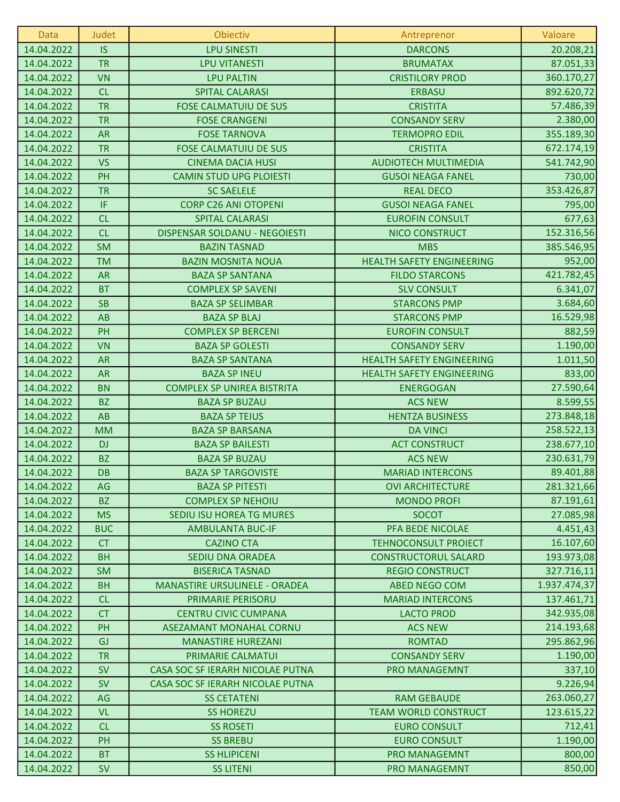| Data       | Judet      | Obiectiv                          | Antreprenor                      | Valoare      |
|------------|------------|-----------------------------------|----------------------------------|--------------|
| 14.04.2022 | <b>IS</b>  | <b>LPU SINESTI</b>                | <b>DARCONS</b>                   | 20.208,21    |
| 14.04.2022 | <b>TR</b>  | <b>LPU VITANESTI</b>              | <b>BRUMATAX</b>                  | 87.051,33    |
| 14.04.2022 | <b>VN</b>  | <b>LPU PALTIN</b>                 | <b>CRISTILORY PROD</b>           | 360.170,27   |
| 14.04.2022 | CL         | <b>SPITAL CALARASI</b>            | <b>ERBASU</b>                    | 892.620,72   |
| 14.04.2022 | <b>TR</b>  | <b>FOSE CALMATUIU DE SUS</b>      | <b>CRISTITA</b>                  | 57.486,39    |
| 14.04.2022 | <b>TR</b>  | <b>FOSE CRANGENI</b>              | <b>CONSANDY SERV</b>             | 2.380,00     |
| 14.04.2022 | <b>AR</b>  | <b>FOSE TARNOVA</b>               | <b>TERMOPRO EDIL</b>             | 355.189,30   |
| 14.04.2022 | <b>TR</b>  | <b>FOSE CALMATUIU DE SUS</b>      | <b>CRISTITA</b>                  | 672.174,19   |
| 14.04.2022 | <b>VS</b>  | <b>CINEMA DACIA HUSI</b>          | <b>AUDIOTECH MULTIMEDIA</b>      | 541.742,90   |
| 14.04.2022 | PH         | <b>CAMIN STUD UPG PLOIESTI</b>    | <b>GUSOI NEAGA FANEL</b>         | 730,00       |
| 14.04.2022 | <b>TR</b>  | <b>SC SAELELE</b>                 | <b>REAL DECO</b>                 | 353.426,87   |
| 14.04.2022 | IF         | <b>CORP C26 ANI OTOPENI</b>       | <b>GUSOI NEAGA FANEL</b>         | 795,00       |
| 14.04.2022 | CL         | <b>SPITAL CALARASI</b>            | <b>EUROFIN CONSULT</b>           | 677,63       |
| 14.04.2022 | CL         | DISPENSAR SOLDANU - NEGOIESTI     | <b>NICO CONSTRUCT</b>            | 152.316,56   |
| 14.04.2022 | <b>SM</b>  | <b>BAZIN TASNAD</b>               | <b>MBS</b>                       | 385.546,95   |
| 14.04.2022 | <b>TM</b>  | <b>BAZIN MOSNITA NOUA</b>         | <b>HEALTH SAFETY ENGINEERING</b> | 952,00       |
| 14.04.2022 | <b>AR</b>  | <b>BAZA SP SANTANA</b>            | <b>FILDO STARCONS</b>            | 421.782,45   |
| 14.04.2022 | <b>BT</b>  | <b>COMPLEX SP SAVENI</b>          | <b>SLV CONSULT</b>               | 6.341,07     |
| 14.04.2022 | <b>SB</b>  | <b>BAZA SP SELIMBAR</b>           | <b>STARCONS PMP</b>              | 3.684,60     |
| 14.04.2022 | AB         | <b>BAZA SP BLAJ</b>               | <b>STARCONS PMP</b>              | 16.529,98    |
| 14.04.2022 | PH         | <b>COMPLEX SP BERCENI</b>         | <b>EUROFIN CONSULT</b>           | 882,59       |
| 14.04.2022 | <b>VN</b>  | <b>BAZA SP GOLESTI</b>            | <b>CONSANDY SERV</b>             | 1.190,00     |
| 14.04.2022 | <b>AR</b>  | <b>BAZA SP SANTANA</b>            | <b>HEALTH SAFETY ENGINEERING</b> | 1.011,50     |
| 14.04.2022 | <b>AR</b>  | <b>BAZA SP INEU</b>               | <b>HEALTH SAFETY ENGINEERING</b> | 833,00       |
| 14.04.2022 | <b>BN</b>  | <b>COMPLEX SP UNIREA BISTRITA</b> | <b>ENERGOGAN</b>                 | 27.590,64    |
| 14.04.2022 | <b>BZ</b>  | <b>BAZA SP BUZAU</b>              | <b>ACS NEW</b>                   | 8.599,55     |
| 14.04.2022 | AB         | <b>BAZA SP TEIUS</b>              | <b>HENTZA BUSINESS</b>           | 273.848,18   |
| 14.04.2022 | <b>MM</b>  | <b>BAZA SP BARSANA</b>            | <b>DA VINCI</b>                  | 258.522,13   |
| 14.04.2022 | <b>DJ</b>  | <b>BAZA SP BAILESTI</b>           | <b>ACT CONSTRUCT</b>             | 238.677,10   |
| 14.04.2022 | <b>BZ</b>  | <b>BAZA SP BUZAU</b>              | <b>ACS NEW</b>                   | 230.631,79   |
| 14.04.2022 | DB         | <b>BAZA SP TARGOVISTE</b>         | <b>MARIAD INTERCONS</b>          | 89.401,88    |
| 14.04.2022 | AG         | <b>BAZA SP PITESTI</b>            | <b>OVI ARCHITECTURE</b>          | 281.321,66   |
| 14.04.2022 | <b>BZ</b>  | <b>COMPLEX SP NEHOIU</b>          | <b>MONDO PROFI</b>               | 87.191,61    |
| 14.04.2022 | <b>MS</b>  | SEDIU ISU HOREA TG MURES          | <b>SOCOT</b>                     | 27.085,98    |
| 14.04.2022 | <b>BUC</b> | <b>AMBULANTA BUC-IF</b>           | PFA BEDE NICOLAE                 | 4.451,43     |
| 14.04.2022 | <b>CT</b>  | <b>CAZINO CTA</b>                 | <b>TEHNOCONSULT PROIECT</b>      | 16.107,60    |
| 14.04.2022 | <b>BH</b>  | SEDIU DNA ORADEA                  | <b>CONSTRUCTORUL SALARD</b>      | 193.973,08   |
| 14.04.2022 | <b>SM</b>  | <b>BISERICA TASNAD</b>            | <b>REGIO CONSTRUCT</b>           | 327.716,11   |
| 14.04.2022 | <b>BH</b>  | MANASTIRE URSULINELE - ORADEA     | <b>ABED NEGO COM</b>             | 1.937.474,37 |
| 14.04.2022 | CL         | PRIMARIE PERISORU                 | <b>MARIAD INTERCONS</b>          | 137.461,71   |
| 14.04.2022 | <b>CT</b>  | <b>CENTRU CIVIC CUMPANA</b>       | <b>LACTO PROD</b>                | 342.935,08   |
| 14.04.2022 | PH         | ASEZAMANT MONAHAL CORNU           | <b>ACS NEW</b>                   | 214.193,68   |
| 14.04.2022 | GJ         | <b>MANASTIRE HUREZANI</b>         | <b>ROMTAD</b>                    | 295.862,96   |
| 14.04.2022 | <b>TR</b>  | PRIMARIE CALMATUI                 | <b>CONSANDY SERV</b>             | 1.190,00     |
| 14.04.2022 | <b>SV</b>  | CASA SOC SF IERARH NICOLAE PUTNA  | <b>PRO MANAGEMNT</b>             | 337,10       |
| 14.04.2022 | <b>SV</b>  | CASA SOC SF IERARH NICOLAE PUTNA  |                                  | 9.226,94     |
| 14.04.2022 | AG         | <b>SS CETATENI</b>                | <b>RAM GEBAUDE</b>               | 263.060,27   |
| 14.04.2022 | <b>VL</b>  | <b>SS HOREZU</b>                  | <b>TEAM WORLD CONSTRUCT</b>      | 123.615,22   |
| 14.04.2022 | CL         | <b>SS ROSETI</b>                  | <b>EURO CONSULT</b>              | 712,41       |
| 14.04.2022 | PH         | <b>SS BREBU</b>                   | <b>EURO CONSULT</b>              | 1.190,00     |
| 14.04.2022 | <b>BT</b>  | <b>SS HLIPICENI</b>               | PRO MANAGEMNT                    | 800,00       |
| 14.04.2022 | <b>SV</b>  | <b>SS LITENI</b>                  | PRO MANAGEMNT                    | 850,00       |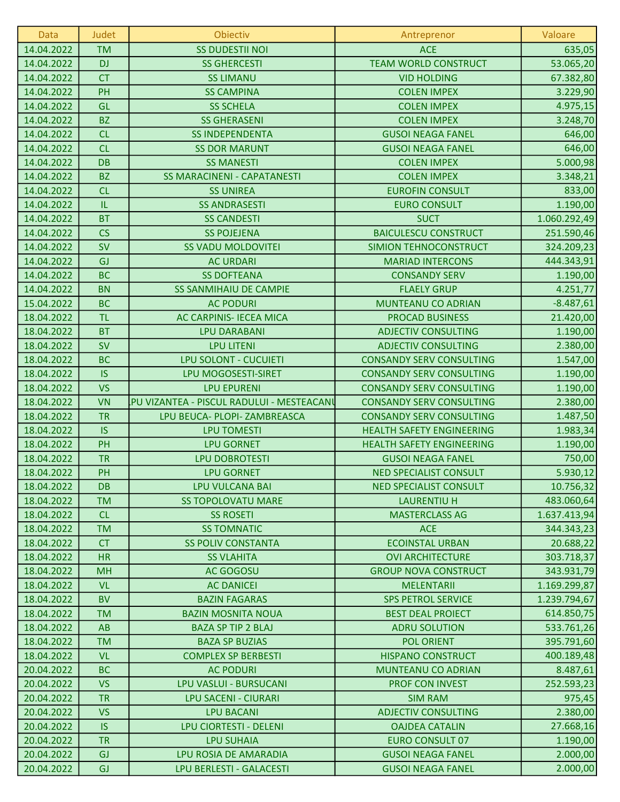| Data       | <b>Judet</b> | Obiectiv                                  | Antreprenor                      | Valoare      |
|------------|--------------|-------------------------------------------|----------------------------------|--------------|
| 14.04.2022 | <b>TM</b>    | <b>SS DUDESTII NOI</b>                    | <b>ACE</b>                       | 635,05       |
| 14.04.2022 | <b>DJ</b>    | <b>SS GHERCESTI</b>                       | <b>TEAM WORLD CONSTRUCT</b>      | 53.065,20    |
| 14.04.2022 | <b>CT</b>    | <b>SS LIMANU</b>                          | <b>VID HOLDING</b>               | 67.382,80    |
| 14.04.2022 | PH           | <b>SS CAMPINA</b>                         | <b>COLEN IMPEX</b>               | 3.229,90     |
| 14.04.2022 | GL           | <b>SS SCHELA</b>                          | <b>COLEN IMPEX</b>               | 4.975,15     |
| 14.04.2022 | <b>BZ</b>    | <b>SS GHERASENI</b>                       | <b>COLEN IMPEX</b>               | 3.248,70     |
| 14.04.2022 | CL           | <b>SS INDEPENDENTA</b>                    | <b>GUSOI NEAGA FANEL</b>         | 646,00       |
| 14.04.2022 | CL           | <b>SS DOR MARUNT</b>                      | <b>GUSOI NEAGA FANEL</b>         | 646,00       |
| 14.04.2022 | <b>DB</b>    | <b>SS MANESTI</b>                         | <b>COLEN IMPEX</b>               | 5.000,98     |
| 14.04.2022 | <b>BZ</b>    | <b>SS MARACINENI - CAPATANESTI</b>        | <b>COLEN IMPEX</b>               | 3.348,21     |
| 14.04.2022 | CL           | <b>SS UNIREA</b>                          | <b>EUROFIN CONSULT</b>           | 833,00       |
| 14.04.2022 | IL.          | <b>SS ANDRASESTI</b>                      | <b>EURO CONSULT</b>              | 1.190,00     |
| 14.04.2022 | <b>BT</b>    | <b>SS CANDESTI</b>                        | <b>SUCT</b>                      | 1.060.292,49 |
| 14.04.2022 | <b>CS</b>    | <b>SS POJEJENA</b>                        | <b>BAICULESCU CONSTRUCT</b>      | 251.590,46   |
| 14.04.2022 | <b>SV</b>    | <b>SS VADU MOLDOVITEI</b>                 | SIMION TEHNOCONSTRUCT            | 324.209,23   |
| 14.04.2022 | GJ           | <b>AC URDARI</b>                          | <b>MARIAD INTERCONS</b>          | 444.343,91   |
| 14.04.2022 | <b>BC</b>    | <b>SS DOFTEANA</b>                        | <b>CONSANDY SERV</b>             | 1.190,00     |
| 14.04.2022 | <b>BN</b>    | <b>SS SANMIHAIU DE CAMPIE</b>             | <b>FLAELY GRUP</b>               | 4.251,77     |
| 15.04.2022 | <b>BC</b>    | <b>AC PODURI</b>                          | MUNTEANU CO ADRIAN               | $-8.487,61$  |
| 18.04.2022 | <b>TL</b>    | <b>AC CARPINIS- IECEA MICA</b>            | <b>PROCAD BUSINESS</b>           | 21.420,00    |
| 18.04.2022 | <b>BT</b>    | <b>LPU DARABANI</b>                       | <b>ADJECTIV CONSULTING</b>       | 1.190,00     |
| 18.04.2022 | <b>SV</b>    | <b>LPU LITENI</b>                         | <b>ADJECTIV CONSULTING</b>       | 2.380,00     |
| 18.04.2022 | <b>BC</b>    | LPU SOLONT - CUCUIETI                     | <b>CONSANDY SERV CONSULTING</b>  | 1.547,00     |
| 18.04.2022 | IS           | LPU MOGOSESTI-SIRET                       | <b>CONSANDY SERV CONSULTING</b>  | 1.190,00     |
| 18.04.2022 | <b>VS</b>    | <b>LPU EPURENI</b>                        | <b>CONSANDY SERV CONSULTING</b>  | 1.190,00     |
| 18.04.2022 | <b>VN</b>    | PU VIZANTEA - PISCUL RADULUI - MESTEACANI | <b>CONSANDY SERV CONSULTING</b>  | 2.380,00     |
| 18.04.2022 | <b>TR</b>    | LPU BEUCA- PLOPI- ZAMBREASCA              | <b>CONSANDY SERV CONSULTING</b>  | 1.487,50     |
| 18.04.2022 | <b>IS</b>    | <b>LPU TOMESTI</b>                        | <b>HEALTH SAFETY ENGINEERING</b> | 1.983,34     |
| 18.04.2022 | PH           | <b>LPU GORNET</b>                         | <b>HEALTH SAFETY ENGINEERING</b> | 1.190,00     |
| 18.04.2022 | <b>TR</b>    | <b>LPU DOBROTESTI</b>                     | <b>GUSOI NEAGA FANEL</b>         | 750,00       |
| 18.04.2022 | PH           | <b>LPU GORNET</b>                         | <b>NED SPECIALIST CONSULT</b>    | 5.930,12     |
| 18.04.2022 | DB           | <b>LPU VULCANA BAI</b>                    | <b>NED SPECIALIST CONSULT</b>    | 10.756,32    |
| 18.04.2022 | <b>TM</b>    | <b>SS TOPOLOVATU MARE</b>                 | <b>LAURENTIU H</b>               | 483.060,64   |
| 18.04.2022 | CL           | <b>SS ROSETI</b>                          | <b>MASTERCLASS AG</b>            | 1.637.413,94 |
| 18.04.2022 | <b>TM</b>    | <b>SS TOMNATIC</b>                        | <b>ACE</b>                       | 344.343,23   |
| 18.04.2022 | <b>CT</b>    | <b>SS POLIV CONSTANTA</b>                 | <b>ECOINSTAL URBAN</b>           | 20.688,22    |
| 18.04.2022 | <b>HR</b>    | <b>SS VLAHITA</b>                         | <b>OVI ARCHITECTURE</b>          | 303.718,37   |
| 18.04.2022 | <b>MH</b>    | AC GOGOSU                                 | <b>GROUP NOVA CONSTRUCT</b>      | 343.931,79   |
| 18.04.2022 | <b>VL</b>    | <b>AC DANICEI</b>                         | <b>MELENTARII</b>                | 1.169.299,87 |
| 18.04.2022 | <b>BV</b>    | <b>BAZIN FAGARAS</b>                      | <b>SPS PETROL SERVICE</b>        | 1.239.794,67 |
| 18.04.2022 | <b>TM</b>    | <b>BAZIN MOSNITA NOUA</b>                 | <b>BEST DEAL PROIECT</b>         | 614.850,75   |
| 18.04.2022 | <b>AB</b>    | <b>BAZA SP TIP 2 BLAJ</b>                 | <b>ADRU SOLUTION</b>             | 533.761,26   |
| 18.04.2022 | <b>TM</b>    | <b>BAZA SP BUZIAS</b>                     | <b>POL ORIENT</b>                | 395.791,60   |
| 18.04.2022 | <b>VL</b>    | <b>COMPLEX SP BERBESTI</b>                | <b>HISPANO CONSTRUCT</b>         | 400.189,48   |
| 20.04.2022 | <b>BC</b>    | <b>AC PODURI</b>                          | <b>MUNTEANU CO ADRIAN</b>        | 8.487,61     |
| 20.04.2022 | <b>VS</b>    | LPU VASLUI - BURSUCANI                    | PROF CON INVEST                  | 252.593,23   |
| 20.04.2022 | <b>TR</b>    | <b>LPU SACENI - CIURARI</b>               | <b>SIM RAM</b>                   | 975,45       |
| 20.04.2022 | <b>VS</b>    | <b>LPU BACANI</b>                         | <b>ADJECTIV CONSULTING</b>       | 2.380,00     |
| 20.04.2022 | <b>IS</b>    | LPU CIORTESTI - DELENI                    | <b>OAJDEA CATALIN</b>            | 27.668,16    |
| 20.04.2022 | <b>TR</b>    | <b>LPU SUHAIA</b>                         | <b>EURO CONSULT 07</b>           | 1.190,00     |
| 20.04.2022 | GJ           | LPU ROSIA DE AMARADIA                     | <b>GUSOI NEAGA FANEL</b>         | 2.000,00     |
| 20.04.2022 | GJ           | LPU BERLESTI - GALACESTI                  | <b>GUSOI NEAGA FANEL</b>         | 2.000,00     |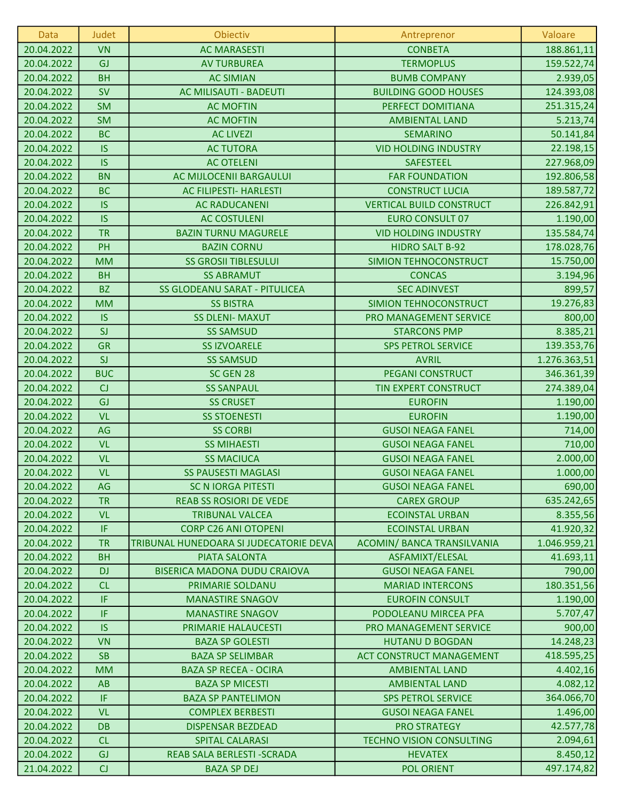| Data       | Judet      | Obiectiv                               | Antreprenor                       | Valoare      |
|------------|------------|----------------------------------------|-----------------------------------|--------------|
| 20.04.2022 | <b>VN</b>  | <b>AC MARASESTI</b>                    | <b>CONBETA</b>                    | 188.861,11   |
| 20.04.2022 | GJ         | <b>AV TURBUREA</b>                     | <b>TERMOPLUS</b>                  | 159.522,74   |
| 20.04.2022 | <b>BH</b>  | <b>AC SIMIAN</b>                       | <b>BUMB COMPANY</b>               | 2.939,05     |
| 20.04.2022 | <b>SV</b>  | AC MILISAUTI - BADEUTI                 | <b>BUILDING GOOD HOUSES</b>       | 124.393,08   |
| 20.04.2022 | <b>SM</b>  | <b>AC MOFTIN</b>                       | PERFECT DOMITIANA                 | 251.315,24   |
| 20.04.2022 | <b>SM</b>  | <b>AC MOFTIN</b>                       | <b>AMBIENTAL LAND</b>             | 5.213,74     |
| 20.04.2022 | <b>BC</b>  | <b>AC LIVEZI</b>                       | <b>SEMARINO</b>                   | 50.141,84    |
| 20.04.2022 | <b>IS</b>  | <b>AC TUTORA</b>                       | <b>VID HOLDING INDUSTRY</b>       | 22.198,15    |
| 20.04.2022 | <b>IS</b>  | <b>AC OTELENI</b>                      | <b>SAFESTEEL</b>                  | 227.968,09   |
| 20.04.2022 | <b>BN</b>  | AC MIJLOCENII BARGAULUI                | <b>FAR FOUNDATION</b>             | 192.806,58   |
| 20.04.2022 | <b>BC</b>  | <b>AC FILIPESTI- HARLESTI</b>          | <b>CONSTRUCT LUCIA</b>            | 189.587,72   |
| 20.04.2022 | <b>IS</b>  | <b>AC RADUCANENI</b>                   | <b>VERTICAL BUILD CONSTRUCT</b>   | 226.842,91   |
| 20.04.2022 | <b>IS</b>  | <b>AC COSTULENI</b>                    | <b>EURO CONSULT 07</b>            | 1.190,00     |
| 20.04.2022 | <b>TR</b>  | <b>BAZIN TURNU MAGURELE</b>            | <b>VID HOLDING INDUSTRY</b>       | 135.584,74   |
| 20.04.2022 | PH         | <b>BAZIN CORNU</b>                     | <b>HIDRO SALT B-92</b>            | 178.028,76   |
| 20.04.2022 | <b>MM</b>  | <b>SS GROSII TIBLESULUI</b>            | SIMION TEHNOCONSTRUCT             | 15.750,00    |
| 20.04.2022 | <b>BH</b>  | <b>SS ABRAMUT</b>                      | <b>CONCAS</b>                     | 3.194,96     |
| 20.04.2022 | <b>BZ</b>  | <b>SS GLODEANU SARAT - PITULICEA</b>   | <b>SEC ADINVEST</b>               | 899,57       |
| 20.04.2022 | <b>MM</b>  | <b>SS BISTRA</b>                       | SIMION TEHNOCONSTRUCT             | 19.276,83    |
| 20.04.2022 | <b>IS</b>  | <b>SS DLENI- MAXUT</b>                 | PRO MANAGEMENT SERVICE            | 800,00       |
| 20.04.2022 | SI         | <b>SS SAMSUD</b>                       | <b>STARCONS PMP</b>               | 8.385,21     |
| 20.04.2022 | <b>GR</b>  | <b>SS IZVOARELE</b>                    | <b>SPS PETROL SERVICE</b>         | 139.353,76   |
| 20.04.2022 | SI         | <b>SS SAMSUD</b>                       | <b>AVRIL</b>                      | 1.276.363,51 |
| 20.04.2022 | <b>BUC</b> | SC GEN 28                              | <b>PEGANI CONSTRUCT</b>           | 346.361,39   |
| 20.04.2022 | CJ         | <b>SS SANPAUL</b>                      | TIN EXPERT CONSTRUCT              | 274.389,04   |
| 20.04.2022 | GJ         | <b>SS CRUSET</b>                       | <b>EUROFIN</b>                    | 1.190,00     |
| 20.04.2022 | VL         | <b>SS STOENESTI</b>                    | <b>EUROFIN</b>                    | 1.190,00     |
| 20.04.2022 | AG         | <b>SS CORBI</b>                        | <b>GUSOI NEAGA FANEL</b>          | 714,00       |
| 20.04.2022 | <b>VL</b>  | <b>SS MIHAESTI</b>                     | <b>GUSOI NEAGA FANEL</b>          | 710,00       |
| 20.04.2022 | <b>VL</b>  | <b>SS MACIUCA</b>                      | <b>GUSOI NEAGA FANEL</b>          | 2.000,00     |
| 20.04.2022 | <b>VL</b>  | <b>SS PAUSESTI MAGLASI</b>             | <b>GUSOI NEAGA FANEL</b>          | 1.000,00     |
| 20.04.2022 | AG         | <b>SC N IORGA PITESTI</b>              | <b>GUSOI NEAGA FANEL</b>          | 690,00       |
| 20.04.2022 | <b>TR</b>  | <b>REAB SS ROSIORI DE VEDE</b>         | <b>CAREX GROUP</b>                | 635.242,65   |
| 20.04.2022 | <b>VL</b>  | <b>TRIBUNAL VALCEA</b>                 | <b>ECOINSTAL URBAN</b>            | 8.355,56     |
| 20.04.2022 | IF.        | <b>CORP C26 ANI OTOPENI</b>            | <b>ECOINSTAL URBAN</b>            | 41.920,32    |
| 20.04.2022 | <b>TR</b>  | TRIBUNAL HUNEDOARA SI JUDECATORIE DEVA | <b>ACOMIN/ BANCA TRANSILVANIA</b> | 1.046.959,21 |
| 20.04.2022 | <b>BH</b>  | <b>PIATA SALONTA</b>                   | ASFAMIXT/ELESAL                   | 41.693,11    |
| 20.04.2022 | <b>DJ</b>  | <b>BISERICA MADONA DUDU CRAIOVA</b>    | <b>GUSOI NEAGA FANEL</b>          | 790,00       |
| 20.04.2022 | CL         | PRIMARIE SOLDANU                       | <b>MARIAD INTERCONS</b>           | 180.351,56   |
| 20.04.2022 | IF.        | <b>MANASTIRE SNAGOV</b>                | <b>EUROFIN CONSULT</b>            | 1.190,00     |
| 20.04.2022 | IF.        | <b>MANASTIRE SNAGOV</b>                | PODOLEANU MIRCEA PFA              | 5.707,47     |
| 20.04.2022 | <b>IS</b>  | PRIMARIE HALAUCESTI                    | PRO MANAGEMENT SERVICE            | 900,00       |
| 20.04.2022 | <b>VN</b>  | <b>BAZA SP GOLESTI</b>                 | <b>HUTANU D BOGDAN</b>            | 14.248,23    |
| 20.04.2022 | <b>SB</b>  | <b>BAZA SP SELIMBAR</b>                | <b>ACT CONSTRUCT MANAGEMENT</b>   | 418.595,25   |
| 20.04.2022 | <b>MM</b>  | <b>BAZA SP RECEA - OCIRA</b>           | <b>AMBIENTAL LAND</b>             | 4.402,16     |
| 20.04.2022 | AB         | <b>BAZA SP MICESTI</b>                 | <b>AMBIENTAL LAND</b>             | 4.082,12     |
| 20.04.2022 | IF         | <b>BAZA SP PANTELIMON</b>              | <b>SPS PETROL SERVICE</b>         | 364.066,70   |
| 20.04.2022 | <b>VL</b>  | <b>COMPLEX BERBESTI</b>                | <b>GUSOI NEAGA FANEL</b>          | 1.496,00     |
| 20.04.2022 | <b>DB</b>  | <b>DISPENSAR BEZDEAD</b>               | <b>PRO STRATEGY</b>               | 42.577,78    |
| 20.04.2022 | CL         | <b>SPITAL CALARASI</b>                 | <b>TECHNO VISION CONSULTING</b>   | 2.094,61     |
| 20.04.2022 | GJ         | REAB SALA BERLESTI - SCRADA            | <b>HEVATEX</b>                    | 8.450,12     |
| 21.04.2022 | CJ         | <b>BAZA SP DEJ</b>                     | <b>POL ORIENT</b>                 | 497.174,82   |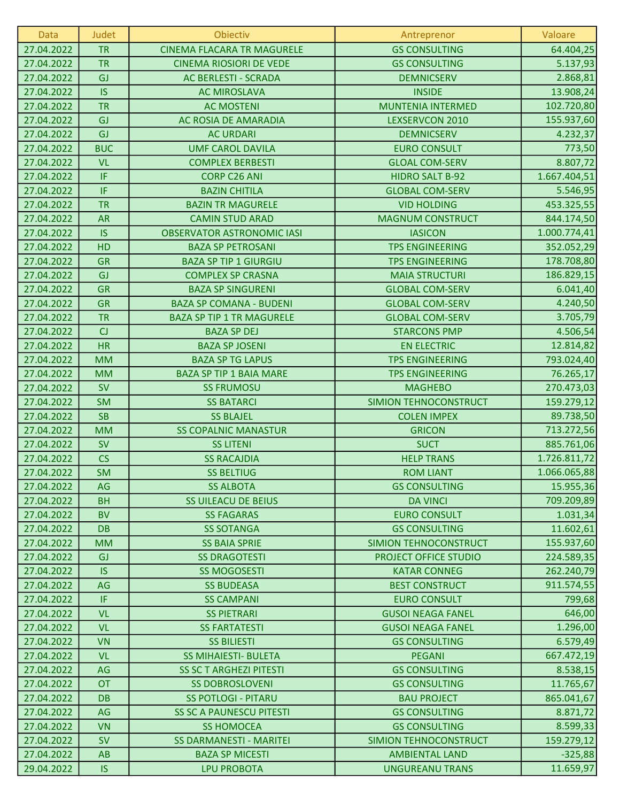| <b>Data</b> | Judet      | Obiectiv                          | Antreprenor              | Valoare      |
|-------------|------------|-----------------------------------|--------------------------|--------------|
| 27.04.2022  | <b>TR</b>  | <b>CINEMA FLACARA TR MAGURELE</b> | <b>GS CONSULTING</b>     | 64.404,25    |
| 27.04.2022  | <b>TR</b>  | <b>CINEMA RIOSIORI DE VEDE</b>    | <b>GS CONSULTING</b>     | 5.137,93     |
| 27.04.2022  | GJ         | AC BERLESTI - SCRADA              | <b>DEMNICSERV</b>        | 2.868,81     |
| 27.04.2022  | <b>IS</b>  | <b>AC MIROSLAVA</b>               | <b>INSIDE</b>            | 13.908,24    |
| 27.04.2022  | <b>TR</b>  | <b>AC MOSTENI</b>                 | <b>MUNTENIA INTERMED</b> | 102.720,80   |
| 27.04.2022  | GJ         | AC ROSIA DE AMARADIA              | LEXSERVCON 2010          | 155.937,60   |
| 27.04.2022  | GJ         | <b>AC URDARI</b>                  | <b>DEMNICSERV</b>        | 4.232,37     |
| 27.04.2022  | <b>BUC</b> | <b>UMF CAROL DAVILA</b>           | <b>EURO CONSULT</b>      | 773,50       |
| 27.04.2022  | VL         | <b>COMPLEX BERBESTI</b>           | <b>GLOAL COM-SERV</b>    | 8.807,72     |
| 27.04.2022  | IF         | <b>CORP C26 ANI</b>               | <b>HIDRO SALT B-92</b>   | 1.667.404,51 |
| 27.04.2022  | IF         | <b>BAZIN CHITILA</b>              | <b>GLOBAL COM-SERV</b>   | 5.546,95     |
| 27.04.2022  | <b>TR</b>  | <b>BAZIN TR MAGURELE</b>          | <b>VID HOLDING</b>       | 453.325,55   |
| 27.04.2022  | <b>AR</b>  | <b>CAMIN STUD ARAD</b>            | <b>MAGNUM CONSTRUCT</b>  | 844.174,50   |
| 27.04.2022  | <b>IS</b>  | <b>OBSERVATOR ASTRONOMIC IASI</b> | <b>IASICON</b>           | 1.000.774,41 |
| 27.04.2022  | HD         | <b>BAZA SP PETROSANI</b>          | <b>TPS ENGINEERING</b>   | 352.052,29   |
| 27.04.2022  | <b>GR</b>  | <b>BAZA SP TIP 1 GIURGIU</b>      | <b>TPS ENGINEERING</b>   | 178.708,80   |
| 27.04.2022  | GJ         | <b>COMPLEX SP CRASNA</b>          | <b>MAIA STRUCTURI</b>    | 186.829,15   |
| 27.04.2022  | <b>GR</b>  | <b>BAZA SP SINGURENI</b>          | <b>GLOBAL COM-SERV</b>   | 6.041,40     |
| 27.04.2022  | <b>GR</b>  | <b>BAZA SP COMANA - BUDENI</b>    | <b>GLOBAL COM-SERV</b>   | 4.240,50     |
| 27.04.2022  | <b>TR</b>  | <b>BAZA SP TIP 1 TR MAGURELE</b>  | <b>GLOBAL COM-SERV</b>   | 3.705,79     |
| 27.04.2022  | CJ         | <b>BAZA SP DEJ</b>                | <b>STARCONS PMP</b>      | 4.506,54     |
| 27.04.2022  | <b>HR</b>  | <b>BAZA SP JOSENI</b>             | <b>EN ELECTRIC</b>       | 12.814,82    |
| 27.04.2022  | <b>MM</b>  | <b>BAZA SP TG LAPUS</b>           | <b>TPS ENGINEERING</b>   | 793.024,40   |
| 27.04.2022  | <b>MM</b>  | <b>BAZA SP TIP 1 BAIA MARE</b>    | <b>TPS ENGINEERING</b>   | 76.265,17    |
| 27.04.2022  | <b>SV</b>  | <b>SS FRUMOSU</b>                 | <b>MAGHEBO</b>           | 270.473,03   |
| 27.04.2022  | <b>SM</b>  | <b>SS BATARCI</b>                 | SIMION TEHNOCONSTRUCT    | 159.279,12   |
| 27.04.2022  | <b>SB</b>  | <b>SS BLAJEL</b>                  | <b>COLEN IMPEX</b>       | 89.738,50    |
| 27.04.2022  | <b>MM</b>  | <b>SS COPALNIC MANASTUR</b>       | <b>GRICON</b>            | 713.272,56   |
| 27.04.2022  | <b>SV</b>  | <b>SS LITENI</b>                  | <b>SUCT</b>              | 885.761,06   |
| 27.04.2022  | CS         | <b>SS RACAJDIA</b>                | <b>HELP TRANS</b>        | 1.726.811,72 |
| 27.04.2022  | <b>SM</b>  | <b>SS BELTIUG</b>                 | <b>ROM LIANT</b>         | 1.066.065,88 |
| 27.04.2022  | AG         | <b>SS ALBOTA</b>                  | <b>GS CONSULTING</b>     | 15.955,36    |
| 27.04.2022  | <b>BH</b>  | <b>SS UILEACU DE BEIUS</b>        | <b>DA VINCI</b>          | 709.209,89   |
| 27.04.2022  | <b>BV</b>  | <b>SS FAGARAS</b>                 | <b>EURO CONSULT</b>      | 1.031,34     |
| 27.04.2022  | <b>DB</b>  | <b>SS SOTANGA</b>                 | <b>GS CONSULTING</b>     | 11.602,61    |
| 27.04.2022  | <b>MM</b>  | <b>SS BAIA SPRIE</b>              | SIMION TEHNOCONSTRUCT    | 155.937,60   |
| 27.04.2022  | GJ         | <b>SS DRAGOTESTI</b>              | PROJECT OFFICE STUDIO    | 224.589,35   |
| 27.04.2022  | <b>IS</b>  | <b>SS MOGOSESTI</b>               | <b>KATAR CONNEG</b>      | 262.240,79   |
| 27.04.2022  | AG         | <b>SS BUDEASA</b>                 | <b>BEST CONSTRUCT</b>    | 911.574,55   |
| 27.04.2022  | IF         | <b>SS CAMPANI</b>                 | <b>EURO CONSULT</b>      | 799,68       |
| 27.04.2022  | <b>VL</b>  | <b>SS PIETRARI</b>                | <b>GUSOI NEAGA FANEL</b> | 646,00       |
| 27.04.2022  | <b>VL</b>  | <b>SS FARTATESTI</b>              | <b>GUSOI NEAGA FANEL</b> | 1.296,00     |
| 27.04.2022  | <b>VN</b>  | <b>SS BILIESTI</b>                | <b>GS CONSULTING</b>     | 6.579,49     |
| 27.04.2022  | <b>VL</b>  | <b>SS MIHAIESTI- BULETA</b>       | <b>PEGANI</b>            | 667.472,19   |
| 27.04.2022  | AG         | <b>SS SC T ARGHEZI PITESTI</b>    | <b>GS CONSULTING</b>     | 8.538,15     |
| 27.04.2022  | <b>OT</b>  | <b>SS DOBROSLOVENI</b>            | <b>GS CONSULTING</b>     | 11.765,67    |
| 27.04.2022  | <b>DB</b>  | <b>SS POTLOGI - PITARU</b>        | <b>BAU PROJECT</b>       | 865.041,67   |
| 27.04.2022  | AG         | <b>SS SC A PAUNESCU PITESTI</b>   | <b>GS CONSULTING</b>     | 8.871,72     |
| 27.04.2022  | <b>VN</b>  | <b>SS HOMOCEA</b>                 | <b>GS CONSULTING</b>     | 8.599,33     |
| 27.04.2022  | <b>SV</b>  | <b>SS DARMANESTI - MARITEI</b>    | SIMION TEHNOCONSTRUCT    | 159.279,12   |
| 27.04.2022  | <b>AB</b>  | <b>BAZA SP MICESTI</b>            | <b>AMBIENTAL LAND</b>    | $-325,88$    |
| 29.04.2022  | <b>IS</b>  | <b>LPU PROBOTA</b>                | <b>UNGUREANU TRANS</b>   | 11.659,97    |